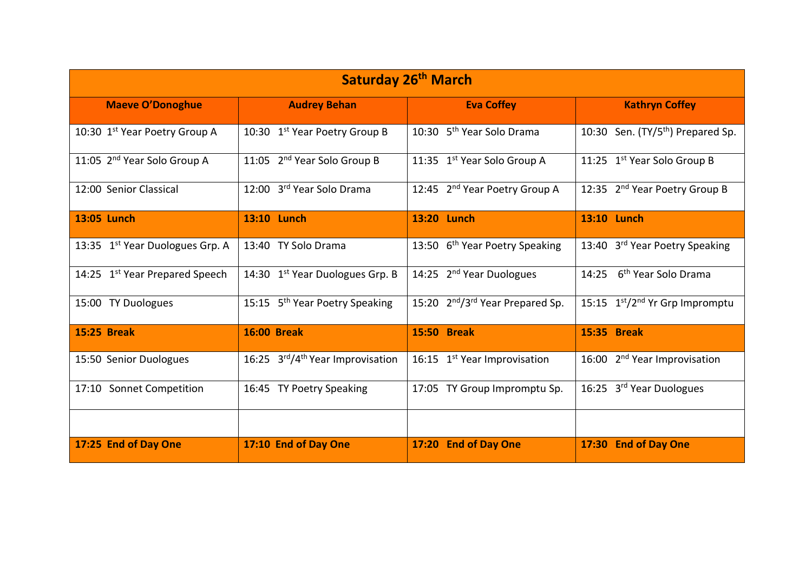| Saturday 26 <sup>th</sup> March             |                                              |                                                          |                                            |  |
|---------------------------------------------|----------------------------------------------|----------------------------------------------------------|--------------------------------------------|--|
| <b>Maeve O'Donoghue</b>                     | <b>Audrey Behan</b>                          | <b>Eva Coffey</b>                                        | <b>Kathryn Coffey</b>                      |  |
| 10:30 1st Year Poetry Group A               | 10:30 1st Year Poetry Group B                | 10:30 5 <sup>th</sup> Year Solo Drama                    | 10:30 Sen. $(TY/5th)$ Prepared Sp.         |  |
| 11:05 2 <sup>nd</sup> Year Solo Group A     | 11:05 2 <sup>nd</sup> Year Solo Group B      | 11:35 1 <sup>st</sup> Year Solo Group A                  | 11:25 1st Year Solo Group B                |  |
| 12:00 Senior Classical                      | 12:00 3rd Year Solo Drama                    | 12:45 2 <sup>nd</sup> Year Poetry Group A                | 12:35 2 <sup>nd</sup> Year Poetry Group B  |  |
| 13:05 Lunch                                 | 13:10 Lunch                                  | 13:20 Lunch                                              | 13:10 Lunch                                |  |
| 13:35 1 <sup>st</sup> Year Duologues Grp. A | 13:40 TY Solo Drama                          | 13:50 6 <sup>th</sup> Year Poetry Speaking               | 13:40 3rd Year Poetry Speaking             |  |
| 14:25 1st Year Prepared Speech              | 14:30 1 <sup>st</sup> Year Duologues Grp. B  | 14:25 2 <sup>nd</sup> Year Duologues                     | 6 <sup>th</sup> Year Solo Drama<br>14:25   |  |
| 15:00 TY Duologues                          | 15:15 5 <sup>th</sup> Year Poetry Speaking   | 15:20 2 <sup>nd</sup> /3 <sup>rd</sup> Year Prepared Sp. | 15:15 1st/2 <sup>nd</sup> Yr Grp Impromptu |  |
| <b>15:25 Break</b>                          | <b>16:00 Break</b>                           | <b>15:50 Break</b>                                       | 15:35 Break                                |  |
| 15:50 Senior Duologues                      | 16:25 3rd/4 <sup>th</sup> Year Improvisation | 16:15 1 <sup>st</sup> Year Improvisation                 | 16:00 2 <sup>nd</sup> Year Improvisation   |  |
| 17:10 Sonnet Competition                    | 16:45 TY Poetry Speaking                     | 17:05 TY Group Impromptu Sp.                             | 16:25 3 <sup>rd</sup> Year Duologues       |  |
|                                             |                                              |                                                          |                                            |  |
| 17:25 End of Day One                        | 17:10 End of Day One                         | <b>End of Day One</b><br>17:20                           | <b>End of Day One</b><br>17:30             |  |